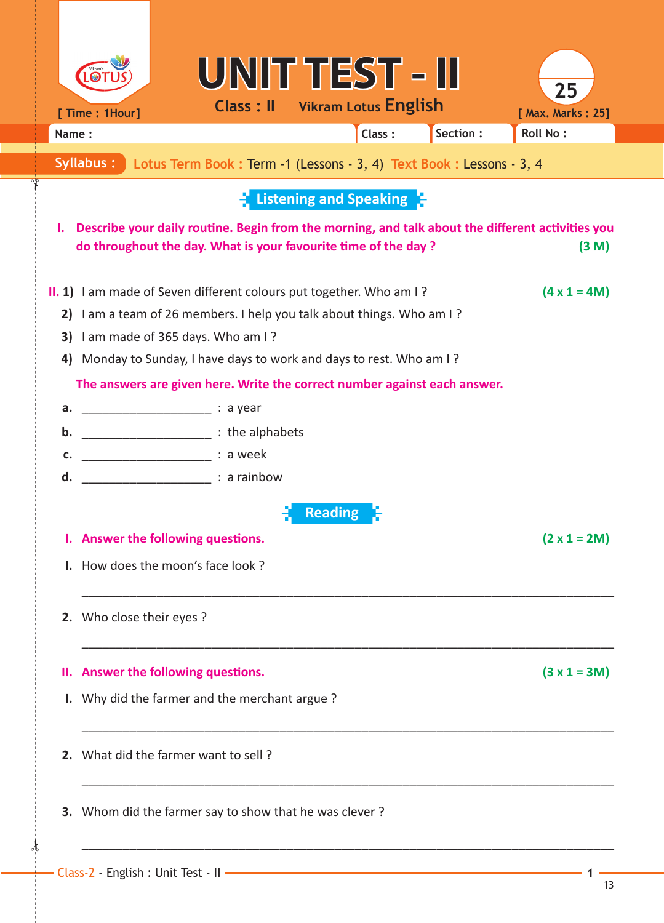|                                                                                                                                                                                   |                                                                                                                         | UNIT TEST - II                                     |          | 25                |  |  |  |  |  |  |
|-----------------------------------------------------------------------------------------------------------------------------------------------------------------------------------|-------------------------------------------------------------------------------------------------------------------------|----------------------------------------------------|----------|-------------------|--|--|--|--|--|--|
| [ Time : 1Hour]                                                                                                                                                                   |                                                                                                                         | <b>Class: II</b> Vikram Lotus English              |          | [ Max. Marks: 25] |  |  |  |  |  |  |
| Name:                                                                                                                                                                             |                                                                                                                         | Class:                                             | Section: | <b>Roll No:</b>   |  |  |  |  |  |  |
| Syllabus:                                                                                                                                                                         | Lotus Term Book: Term -1 (Lessons - 3, 4) Text Book: Lessons - 3, 4                                                     |                                                    |          |                   |  |  |  |  |  |  |
|                                                                                                                                                                                   |                                                                                                                         | $\frac{1}{2}$ Listening and Speaking $\frac{1}{2}$ |          |                   |  |  |  |  |  |  |
|                                                                                                                                                                                   |                                                                                                                         |                                                    |          |                   |  |  |  |  |  |  |
| Describe your daily routine. Begin from the morning, and talk about the different activities you<br>ι.<br>do throughout the day. What is your favourite time of the day?<br>(3 M) |                                                                                                                         |                                                    |          |                   |  |  |  |  |  |  |
|                                                                                                                                                                                   |                                                                                                                         |                                                    |          |                   |  |  |  |  |  |  |
|                                                                                                                                                                                   | II. 1) I am made of Seven different colours put together. Who am I?<br>$(4 \times 1 = 4M)$                              |                                                    |          |                   |  |  |  |  |  |  |
| 2)                                                                                                                                                                                | I am a team of 26 members. I help you talk about things. Who am I?                                                      |                                                    |          |                   |  |  |  |  |  |  |
| 3)                                                                                                                                                                                | I am made of 365 days. Who am I?                                                                                        |                                                    |          |                   |  |  |  |  |  |  |
|                                                                                                                                                                                   | Monday to Sunday, I have days to work and days to rest. Who am I?<br>4)                                                 |                                                    |          |                   |  |  |  |  |  |  |
|                                                                                                                                                                                   | The answers are given here. Write the correct number against each answer.                                               |                                                    |          |                   |  |  |  |  |  |  |
| a.<br>b.                                                                                                                                                                          | <u>and the set of the set of the set of the set of the set of the set of the set of the set of the set of the set o</u> |                                                    |          |                   |  |  |  |  |  |  |
| c.                                                                                                                                                                                | Lattitude the alphabets in the alphabets                                                                                |                                                    |          |                   |  |  |  |  |  |  |
| d.                                                                                                                                                                                |                                                                                                                         |                                                    |          |                   |  |  |  |  |  |  |
|                                                                                                                                                                                   |                                                                                                                         |                                                    |          |                   |  |  |  |  |  |  |
|                                                                                                                                                                                   |                                                                                                                         | <b>Reading</b>                                     |          |                   |  |  |  |  |  |  |
|                                                                                                                                                                                   | I. Answer the following questions.<br>$(2 \times 1 = 2M)$                                                               |                                                    |          |                   |  |  |  |  |  |  |
|                                                                                                                                                                                   | I. How does the moon's face look?                                                                                       |                                                    |          |                   |  |  |  |  |  |  |
| 2. Who close their eyes ?                                                                                                                                                         |                                                                                                                         |                                                    |          |                   |  |  |  |  |  |  |
|                                                                                                                                                                                   | II. Answer the following questions.                                                                                     |                                                    |          | $(3 x 1 = 3M)$    |  |  |  |  |  |  |
|                                                                                                                                                                                   | I. Why did the farmer and the merchant argue?                                                                           |                                                    |          |                   |  |  |  |  |  |  |
|                                                                                                                                                                                   |                                                                                                                         |                                                    |          |                   |  |  |  |  |  |  |
|                                                                                                                                                                                   | 2. What did the farmer want to sell?                                                                                    |                                                    |          |                   |  |  |  |  |  |  |
|                                                                                                                                                                                   | 3. Whom did the farmer say to show that he was clever?                                                                  |                                                    |          |                   |  |  |  |  |  |  |
|                                                                                                                                                                                   |                                                                                                                         |                                                    |          |                   |  |  |  |  |  |  |